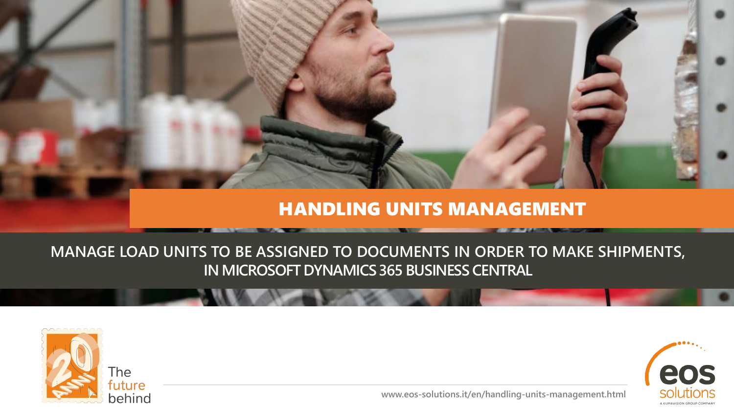#### HANDLING UNITS MANAGEMENT

#### **MANAGE LOAD UNITS TO BE ASSIGNED TO DOCUMENTS IN ORDER TO MAKE SHIPMENTS, IN MICROSOFT DYNAMICS 365 BUSINESS CENTRAL**



eos solutior

**www.eos-solutions.it/en/handling-units-management.html**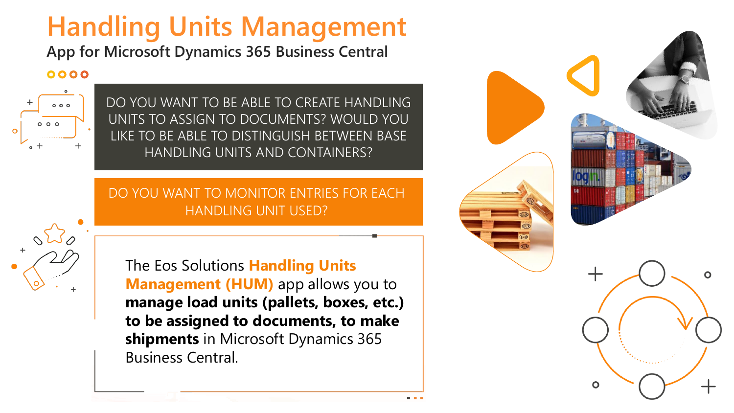# **Handling Units Management**

**App for Microsoft Dynamics 365 Business Central**

#### 0000



DO YOU WANT TO BE ABLE TO CREATE HANDLING UNITS TO ASSIGN TO DOCUMENTS? WOULD YOU LIKE TO BE ABLE TO DISTINGUISH BETWEEN BASE HANDLING UNITS AND CONTAINERS?

#### DO YOU WANT TO MONITOR ENTRIES FOR EACH HANDLING UNIT USED?

The Eos Solutions **Handling Units Management (HUM)** app allows you to **manage load units (pallets, boxes, etc.) to be assigned to documents, to make shipments** in Microsoft Dynamics 365 Business Central.

Creative Orange **Presentation** www.slidemodel.com

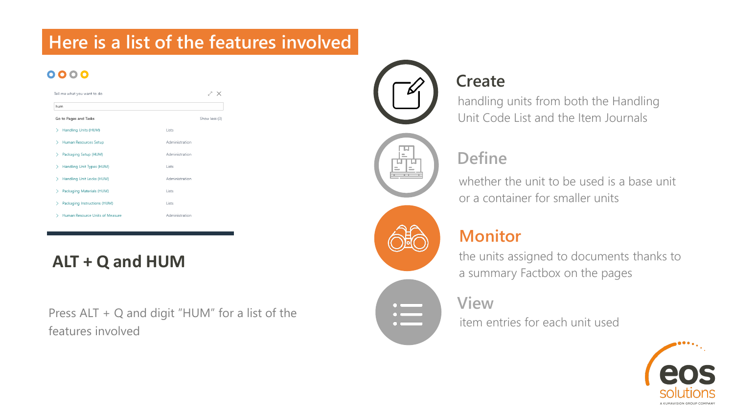### **Here is a list of the features involved**

#### 0000

| hum                             |                |
|---------------------------------|----------------|
| Go to Pages and Tasks           | Show less (3)  |
| Handling Units (HUM)            | <b>Lists</b>   |
| Human Resources Setup           | Administration |
| Packaging Setup (HUM)           | Administration |
| Handling Unit Types (HUM)       | Lists          |
| Handling Unit Locks (HUM)       | Administration |
| Packaging Materials (HUM)       | Lists          |
| Packaging Instructions (HUM)    | Lists          |
| Human Resource Units of Measure | Administration |

#### **ALT + Q and HUM**

Press ALT + Q and digit "HUM" for a list of the features involved



### **Create**

handling units from both the Handling Unit Code List and the Item Journals

### **Define**

whether the unit to be used is a base unit or a container for smaller units

#### **Monitor**

the units assigned to documents thanks to a summary Factbox on the pages

#### **View**

item entries for each unit used

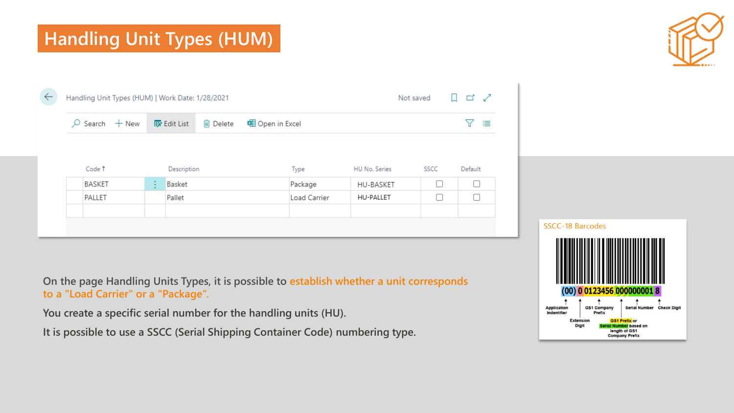# **Handling Unit Types (HUM)**



|        | $\varphi$ Search $+$ New |   | 取 Edit List | liij Delete | 电 Open in Excel |                  |        | 三       |  |
|--------|--------------------------|---|-------------|-------------|-----------------|------------------|--------|---------|--|
| Code î |                          |   | Description |             | Type            | HU No. Series    | SSCC   | Default |  |
| BASKET |                          | ÷ | Basket      |             | Package         | HU-BASKET        | $\Box$ | C       |  |
| PALLET |                          |   | Pallet      |             | Load Carrier    | <b>HU-PALLET</b> | $\Box$ |         |  |

**On the page Handling Units Types, it is possible to establish whether a unit corresponds to a "Load Carrier" or a "Package".**

**You create a specific serial number for the handling units (HU).**

**It is possible to use a SSCC (Serial Shipping Container Code) numbering type.**

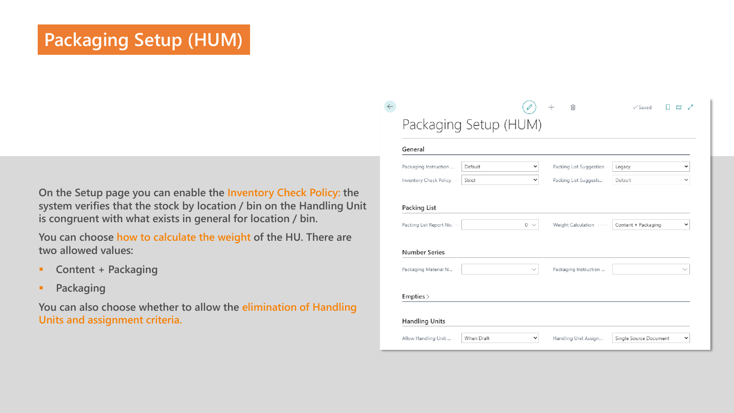## **Packaging Setup (HUM)**

**On the Setup page you can enable the Inventory Check Policy: the system verifies that the stock by location / bin on the Handling Unit is congruent with what exists in general for location / bin.**

**You can choose how to calculate the weight of the HU. There are two allowed values:** 

- **Content + Packaging**
- **Packaging**

**You can also choose whether to allow the elimination of Handling Units and assignment criteria.**

| General                 |         |              |                         |                     |              |
|-------------------------|---------|--------------|-------------------------|---------------------|--------------|
| Packaging Instruction   | Default | v            | Packing List Suggestion | Legacy              | v            |
| Inventory Check Policy  | Strict  | v            | Packing List Suggesti   | Default             |              |
| Packing List Report No. |         | $0 \sqrt{ }$ | Weight Calculation      | Content + Packaging | v            |
| <b>Number Series</b>    |         |              |                         |                     |              |
| Packaging Material N    |         | $\checkmark$ | Packaging Instruction   |                     | $\checkmark$ |
| Empties                 |         |              |                         |                     |              |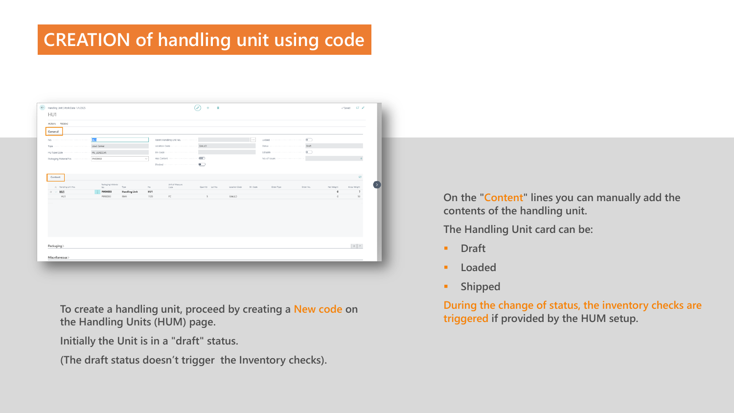### **CREATION of handling unit using code**

| <b>BELLE</b><br>Parent Handling Unit No.<br><b>The Contract</b><br>No. of Issues in continuous construction<br>$\sim$<br>53<br>Content<br>Unit of Measure<br>Packaging Material<br>7/00<br>Order No.<br>A Handling Unit No.<br>No.<br>Quantity Lot No.<br>Location Code<br>Bin Code<br>Order Type<br>Net Weight<br>Gross Weight<br>No.<br>Code<br>HUI<br>PM00003<br>HU1<br><b>Handling Unit</b><br>$\overline{\phantom{a}}$<br>۰<br>$\sim$<br>1120<br>PZ<br>$\circ$<br>50<br>HU1<br>PM00003<br>item.<br>5<br>GIALLO | Actions Related<br>General<br>Type continuous continuous continuous Load Camier |                 |  |  |  |
|---------------------------------------------------------------------------------------------------------------------------------------------------------------------------------------------------------------------------------------------------------------------------------------------------------------------------------------------------------------------------------------------------------------------------------------------------------------------------------------------------------------------|---------------------------------------------------------------------------------|-----------------|--|--|--|
|                                                                                                                                                                                                                                                                                                                                                                                                                                                                                                                     |                                                                                 |                 |  |  |  |
|                                                                                                                                                                                                                                                                                                                                                                                                                                                                                                                     |                                                                                 |                 |  |  |  |
|                                                                                                                                                                                                                                                                                                                                                                                                                                                                                                                     |                                                                                 |                 |  |  |  |
|                                                                                                                                                                                                                                                                                                                                                                                                                                                                                                                     |                                                                                 |                 |  |  |  |
|                                                                                                                                                                                                                                                                                                                                                                                                                                                                                                                     |                                                                                 |                 |  |  |  |
|                                                                                                                                                                                                                                                                                                                                                                                                                                                                                                                     |                                                                                 |                 |  |  |  |
|                                                                                                                                                                                                                                                                                                                                                                                                                                                                                                                     |                                                                                 |                 |  |  |  |
|                                                                                                                                                                                                                                                                                                                                                                                                                                                                                                                     |                                                                                 |                 |  |  |  |
|                                                                                                                                                                                                                                                                                                                                                                                                                                                                                                                     |                                                                                 |                 |  |  |  |
|                                                                                                                                                                                                                                                                                                                                                                                                                                                                                                                     |                                                                                 |                 |  |  |  |
|                                                                                                                                                                                                                                                                                                                                                                                                                                                                                                                     |                                                                                 |                 |  |  |  |
| $0$ $7$                                                                                                                                                                                                                                                                                                                                                                                                                                                                                                             | Packaging >                                                                     | Miscellaneous > |  |  |  |

**To create a handling unit, proceed by creating a New code on the Handling Units (HUM) page.**

**Initially the Unit is in a "draft" status.**

**(The draft status doesn't trigger the Inventory checks).** 

**On the "Content" lines you can manually add the contents of the handling unit.**

**The Handling Unit card can be:**

- **Draft**
- **Loaded**
- **Shipped**

**During the change of status, the inventory checks are triggered if provided by the HUM setup.**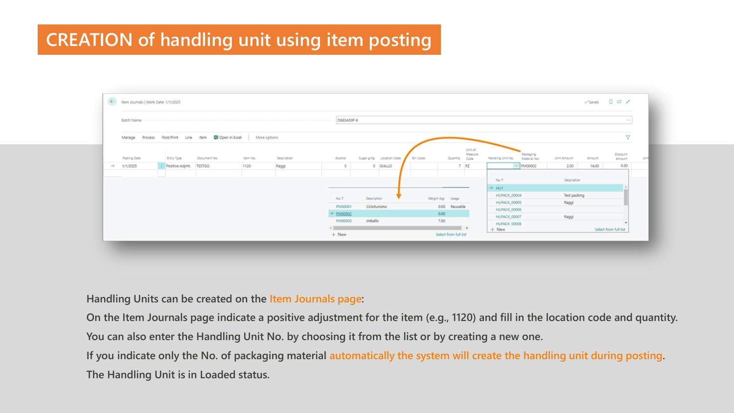### **CREATION of handling unit using item posting**

| $\leftarrow$      | Item Journals   Work Date: 1/1/2025 |                        |                                                       |              |             |                       |              |                          |          |                          |                            |                                                |              |        |                           |     |
|-------------------|-------------------------------------|------------------------|-------------------------------------------------------|--------------|-------------|-----------------------|--------------|--------------------------|----------|--------------------------|----------------------------|------------------------------------------------|--------------|--------|---------------------------|-----|
|                   |                                     |                        |                                                       |              |             |                       |              |                          |          |                          |                            |                                                |              |        | $\sim 100$                |     |
|                   | Manage                              |                        | Process Post/Print Line Item <b>QII</b> Open in Excel | More options |             |                       |              |                          |          |                          |                            |                                                |              |        | P.                        |     |
|                   | Posting Date                        | Entry Type             | Document No.                                          | Item No.     | Description | Alcohol               |              | Sugar g/Kg Location Code | Bin Code | Quantity                 | Unit of<br>Measure<br>Code | Packaging<br>Handling Unit No.<br>Material No. | Unit Amount  | Amount | <b>Discount</b><br>Amount | Uni |
| $\longrightarrow$ | 1/1/2025                            | Positive Adjmt. TESTGG |                                                       | 1120         | Raggi       | $\circ$               |              | 0 GIALLO                 |          |                          | $7$ $PZ$                   | $\vee$ PM00002                                 | 2.00         | 14.00  | 0.00                      |     |
|                   |                                     |                        |                                                       |              |             |                       |              |                          |          |                          |                            | No.1                                           | Description  |        |                           |     |
|                   |                                     |                        |                                                       |              |             |                       |              |                          |          |                          |                            | $\rightarrow$ HU1                              |              |        |                           |     |
|                   |                                     |                        |                                                       |              |             | No. ?                 | Description  |                          |          | Weight (kg) Usage        |                            | HUPACK_00004                                   | Test packing |        |                           |     |
|                   |                                     |                        |                                                       |              |             | PM00001               | Cicloturismo |                          |          | 0.00 Reusable            |                            | HUPACK_00005                                   | Raggi        |        |                           |     |
|                   |                                     |                        |                                                       |              |             | $\rightarrow$ PM00002 |              |                          |          | 0.00                     |                            | HUPACK_00006                                   |              |        |                           |     |
|                   |                                     |                        |                                                       |              |             | PM00003               | Imballo      |                          |          | 7.00                     |                            | HUPACK_00007                                   | Raggi        |        |                           |     |
|                   |                                     |                        |                                                       |              |             |                       |              |                          |          | $\overline{\phantom{a}}$ |                            | HUPACK 00008                                   |              |        |                           |     |
|                   |                                     |                        |                                                       |              |             | $+$ New               |              |                          |          | Select from full list    |                            | $+$ New                                        |              |        | Select from full list     |     |

**Handling Units can be created on the Item Journals page:**

**On the Item Journals page indicate a positive adjustment for the item (e.g., 1120) and fill in the location code and quantity.** 

**You can also enter the Handling Unit No. by choosing it from the list or by creating a new one.**

**If you indicate only the No. of packaging material automatically the system will create the handling unit during posting. The Handling Unit is in Loaded status.**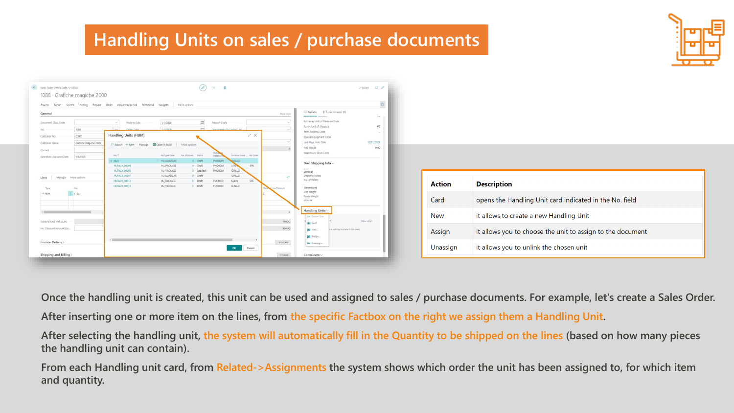#### **Handling Units on sales / purchase documents**



| <b>Action</b> | <b>Description</b>                                         |
|---------------|------------------------------------------------------------|
| Card          | opens the Handling Unit card indicated in the No. field    |
| <b>New</b>    | it allows to create a new Handling Unit                    |
| Assign        | it allows you to choose the unit to assign to the document |
| Unassign      | it allows you to unlink the chosen unit                    |

**Once the handling unit is created, this unit can be used and assigned to sales / purchase documents. For example, let's create a Sales Order.** 

**After inserting one or more item on the lines, from the specific Factbox on the right we assign them a Handling Unit.**

**After selecting the handling unit, the system will automatically fill in the Quantity to be shipped on the lines (based on how many pieces the handling unit can contain).**

**From each Handling unit card, from Related->Assignments the system shows which order the unit has been assigned to, for which item and quantity.**